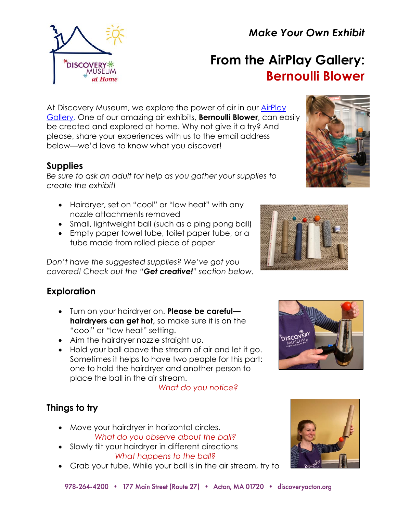978-264-4200 • 177 Main Street (Route 27) • Acton, MA 01720 • discoveryacton.org

# *Make Your Own Exhibit*

# **From the AirPlay Gallery: Bernoulli Blower**

At Discovery Museum, we explore the power of air in our [AirPlay](https://www.discoveryacton.org/exhibit/airplay)  [Gallery.](https://www.discoveryacton.org/exhibit/airplay) One of our amazing air exhibits, **Bernoulli Blower**, can easily be created and explored at home. Why not give it a try? And please, share your experiences with us to the email address below—we'd love to know what you discover!

## **Supplies**

*Be sure to ask an adult for help as you gather your supplies to create the exhibit!*

- Hairdryer, set on "cool" or "low heat" with any nozzle attachments removed
- Small, lightweight ball (such as a ping pong ball)
- Empty paper towel tube, toilet paper tube, or a tube made from rolled piece of paper

*Don't have the suggested supplies? We've got you covered! Check out the "Get creative!" section below.*

# **Exploration**

- Turn on your hairdryer on. **Please be careful hairdryers can get hot,** so make sure it is on the "cool" or "low heat" setting.
- Aim the hairdryer nozzle straight up.
- Hold your ball above the stream of air and let it go. Sometimes it helps to have two people for this part: one to hold the hairdryer and another person to place the ball in the air stream.

*What do you notice?*

# **Things to try**

- Move your hairdryer in horizontal circles. *What do you observe about the ball?*
- Slowly tilt your hairdryer in different directions *What happens to the ball?*
- Grab your tube. While your ball is in the air stream, try to









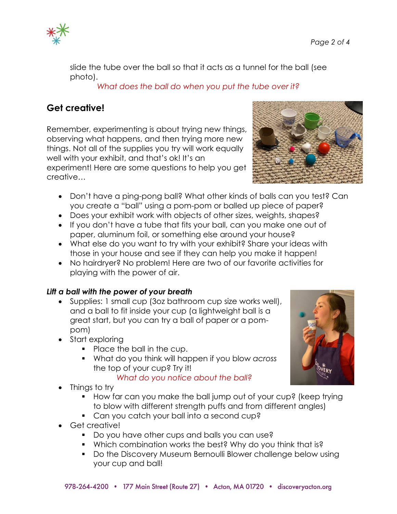

slide the tube over the ball so that it acts as a tunnel for the ball (see photo).

*What does the ball do when you put the tube over it?*

# **Get creative!**

Remember, experimenting is about trying new things, observing what happens, and then trying more new things. Not all of the supplies you try will work equally well with your exhibit, and that's ok! It's an experiment! Here are some questions to help you get creative…

- Don't have a ping-pong ball? What other kinds of balls can you test? Can you create a "ball" using a pom-pom or balled up piece of paper?
- Does your exhibit work with objects of other sizes, weights, shapes?
- If you don't have a tube that fits your ball, can you make one out of paper, aluminum foil, or something else around your house?
- What else do you want to try with your exhibit? Share your ideas with those in your house and see if they can help you make it happen!
- No hairdryer? No problem! Here are two of our favorite activities for playing with the power of air.

#### *Lift a ball with the power of your breath*

- Supplies: 1 small cup (3oz bathroom cup size works well), and a ball to fit inside your cup (a lightweight ball is a great start, but you can try a ball of paper or a pompom)
- Start exploring
	- Place the ball in the cup.
	- What do you think will happen if you blow *across* the top of your cup? Try it!

#### *What do you notice about the ball?*

- Things to try
	- How far can you make the ball jump out of your cup? (keep trying to blow with different strength puffs and from different angles)
	- Can you catch your ball into a second cup?
- Get creative!
	- Do you have other cups and balls you can use?
	- Which combination works the best? Why do you think that is?
	- Do the Discovery Museum Bernoulli Blower challenge below using your cup and ball!

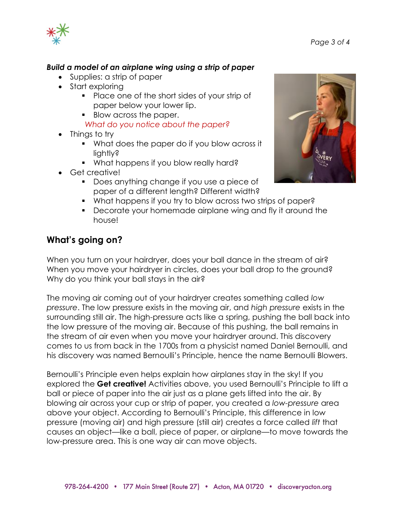



#### *Build a model of an airplane wing using a strip of paper*

- Supplies: a strip of paper
- Start exploring
	- Place one of the short sides of your strip of paper below your lower lip.
	- Blow across the paper.

#### *What do you notice about the paper?*

- Things to try
	- What does the paper do if you blow across it lightly?
	- What happens if you blow really hard?
- Get creative!
	- Does anything change if you use a piece of paper of a different length? Different width?
	- What happens if you try to blow across two strips of paper?
	- Decorate your homemade airplane wing and fly it around the house!

## **What's going on?**

When you turn on your hairdryer, does your ball dance in the stream of air? When you move your hairdryer in circles, does your ball drop to the ground? Why do you think your ball stays in the air?

The moving air coming out of your hairdryer creates something called *low pressure*. The low pressure exists in the moving air, and *high pressure* exists in the surrounding still air. The high-pressure acts like a spring, pushing the ball back into the low pressure of the moving air. Because of this pushing, the ball remains in the stream of air even when you move your hairdryer around. This discovery comes to us from back in the 1700s from a physicist named Daniel Bernoulli, and his discovery was named Bernoulli's Principle, hence the name Bernoulli Blowers.

Bernoulli's Principle even helps explain how airplanes stay in the sky! If you explored the **Get creative!** Activities above, you used Bernoulli's Principle to lift a ball or piece of paper into the air just as a plane gets lifted into the air. By blowing air across your cup or strip of paper, you created a *low-pressure* area above your object. According to Bernoulli's Principle, this difference in low pressure (moving air) and high pressure (still air) creates a force called *lift* that causes an object—like a ball, piece of paper, or airplane—to move towards the low-pressure area. This is one way air can move objects.